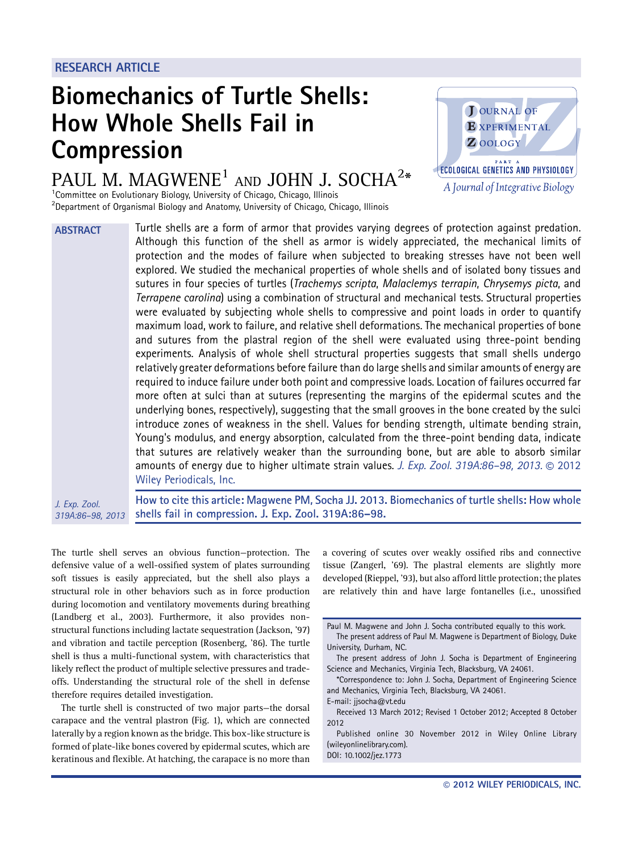# Biomechanics of Turtle Shells: How Whole Shells Fail in Compression



PAUL M. MAGWENE<sup>1</sup> AND JOHN J. SOCHA<sup>2\*</sup> <sup>1</sup>Committee on Evolutionary Biology, University of Chicago, Chicago, Illinois <sup>2</sup>Department of Organismal Biology and Anatomy, University of Chicago, Chicago, Illinois

ABSTRACT Turtle shells are a form of armor that provides varying degrees of protection against predation. Although this function of the shell as armor is widely appreciated, the mechanical limits of protection and the modes of failure when subjected to breaking stresses have not been well explored. We studied the mechanical properties of whole shells and of isolated bony tissues and sutures in four species of turtles (*Trachemys scripta, Malaclemys terrapin, Chrysemys picta, and* Terrapene carolina) using a combination of structural and mechanical tests. Structural properties were evaluated by subjecting whole shells to compressive and point loads in order to quantify maximum load, work to failure, and relative shell deformations. The mechanical properties of bone and sutures from the plastral region of the shell were evaluated using three‐point bending experiments. Analysis of whole shell structural properties suggests that small shells undergo relatively greater deformations before failure than do large shells and similar amounts of energy are required to induce failure under both point and compressive loads. Location of failures occurred far more often at sulci than at sutures (representing the margins of the epidermal scutes and the underlying bones, respectively), suggesting that the small grooves in the bone created by the sulci introduce zones of weakness in the shell. Values for bending strength, ultimate bending strain, Young's modulus, and energy absorption, calculated from the three‐point bending data, indicate that sutures are relatively weaker than the surrounding bone, but are able to absorb similar amounts of energy due to higher ultimate strain values. J. Exp. Zool. 319A:86–98, 2013. © <sup>2012</sup> Wiley Periodicals, Inc.

J. Exp. Zool. 319A:86–98, 2013 How to cite this article: Magwene PM, Socha JJ. 2013. Biomechanics of turtle shells: How whole shells fail in compression. J. Exp. Zool. 319A:86–98.

The turtle shell serves an obvious function—protection. The defensive value of a well‐ossified system of plates surrounding soft tissues is easily appreciated, but the shell also plays a structural role in other behaviors such as in force production during locomotion and ventilatory movements during breathing (Landberg et al., 2003). Furthermore, it also provides non‐ structural functions including lactate sequestration (Jackson, '97) and vibration and tactile perception (Rosenberg, '86). The turtle shell is thus a multi-functional system, with characteristics that likely reflect the product of multiple selective pressures and trade‐ offs. Understanding the structural role of the shell in defense therefore requires detailed investigation.

The turtle shell is constructed of two major parts—the dorsal carapace and the ventral plastron (Fig. 1), which are connected laterally by a region known as the bridge. This box-like structure is formed of plate‐like bones covered by epidermal scutes, which are keratinous and flexible. At hatching, the carapace is no more than

a covering of scutes over weakly ossified ribs and connective tissue (Zangerl, '69). The plastral elements are slightly more developed (Rieppel, '93), but also afford little protection; the plates are relatively thin and have large fontanelles (i.e., unossified

Paul M. Magwene and John J. Socha contributed equally to this work. The present address of Paul M. Magwene is Department of Biology, Duke University, Durham, NC.

- E‐mail: jjsocha@vt.edu
- Received 13 March 2012; Revised 1 October 2012; Accepted 8 October 2012
- Published online 30 November 2012 in Wiley Online Library (wileyonlinelibrary.com).

DOI: 10.1002/jez.1773

The present address of John J. Socha is Department of Engineering Science and Mechanics, Virginia Tech, Blacksburg, VA 24061.

<sup>\*</sup>Correspondence to: John J. Socha, Department of Engineering Science and Mechanics, Virginia Tech, Blacksburg, VA 24061.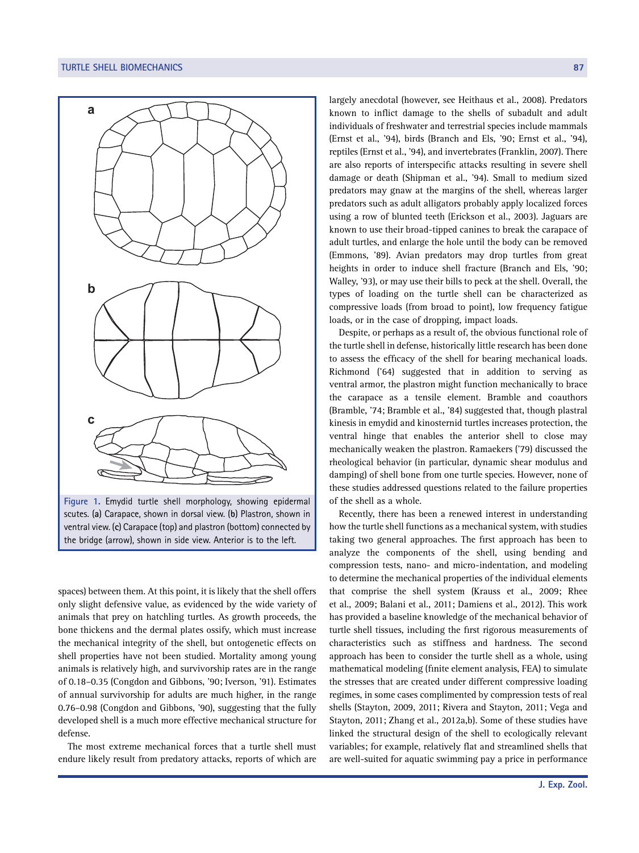#### TURTLE SHELL BIOMECHANICS **87**



scutes. (a) Carapace, shown in dorsal view. (b) Plastron, shown in ventral view. (c) Carapace (top) and plastron (bottom) connected by the bridge (arrow), shown in side view. Anterior is to the left.

spaces) between them. At this point, it is likely that the shell offers only slight defensive value, as evidenced by the wide variety of animals that prey on hatchling turtles. As growth proceeds, the bone thickens and the dermal plates ossify, which must increase the mechanical integrity of the shell, but ontogenetic effects on shell properties have not been studied. Mortality among young animals is relatively high, and survivorship rates are in the range of 0.18–0.35 (Congdon and Gibbons, '90; Iverson, '91). Estimates of annual survivorship for adults are much higher, in the range 0.76–0.98 (Congdon and Gibbons, '90), suggesting that the fully developed shell is a much more effective mechanical structure for defense.

The most extreme mechanical forces that a turtle shell must endure likely result from predatory attacks, reports of which are largely anecdotal (however, see Heithaus et al., 2008). Predators known to inflict damage to the shells of subadult and adult individuals of freshwater and terrestrial species include mammals (Ernst et al., '94), birds (Branch and Els, '90; Ernst et al., '94), reptiles (Ernst et al., '94), and invertebrates (Franklin, 2007). There are also reports of interspecific attacks resulting in severe shell damage or death (Shipman et al., '94). Small to medium sized predators may gnaw at the margins of the shell, whereas larger predators such as adult alligators probably apply localized forces using a row of blunted teeth (Erickson et al., 2003). Jaguars are known to use their broad‐tipped canines to break the carapace of adult turtles, and enlarge the hole until the body can be removed (Emmons, '89). Avian predators may drop turtles from great heights in order to induce shell fracture (Branch and Els, '90; Walley, '93), or may use their bills to peck at the shell. Overall, the types of loading on the turtle shell can be characterized as compressive loads (from broad to point), low frequency fatigue loads, or in the case of dropping, impact loads.

Despite, or perhaps as a result of, the obvious functional role of the turtle shell in defense, historically little research has been done to assess the efficacy of the shell for bearing mechanical loads. Richmond ('64) suggested that in addition to serving as ventral armor, the plastron might function mechanically to brace the carapace as a tensile element. Bramble and coauthors (Bramble, '74; Bramble et al., '84) suggested that, though plastral kinesis in emydid and kinosternid turtles increases protection, the ventral hinge that enables the anterior shell to close may mechanically weaken the plastron. Ramaekers ('79) discussed the rheological behavior (in particular, dynamic shear modulus and damping) of shell bone from one turtle species. However, none of these studies addressed questions related to the failure properties of the shell as a whole.

Recently, there has been a renewed interest in understanding how the turtle shell functions as a mechanical system, with studies taking two general approaches. The first approach has been to analyze the components of the shell, using bending and compression tests, nano‐ and micro‐indentation, and modeling to determine the mechanical properties of the individual elements that comprise the shell system (Krauss et al., 2009; Rhee et al., 2009; Balani et al., 2011; Damiens et al., 2012). This work has provided a baseline knowledge of the mechanical behavior of turtle shell tissues, including the first rigorous measurements of characteristics such as stiffness and hardness. The second approach has been to consider the turtle shell as a whole, using mathematical modeling (finite element analysis, FEA) to simulate the stresses that are created under different compressive loading regimes, in some cases complimented by compression tests of real shells (Stayton, 2009, 2011; Rivera and Stayton, 2011; Vega and Stayton, 2011; Zhang et al., 2012a,b). Some of these studies have linked the structural design of the shell to ecologically relevant variables; for example, relatively flat and streamlined shells that are well‐suited for aquatic swimming pay a price in performance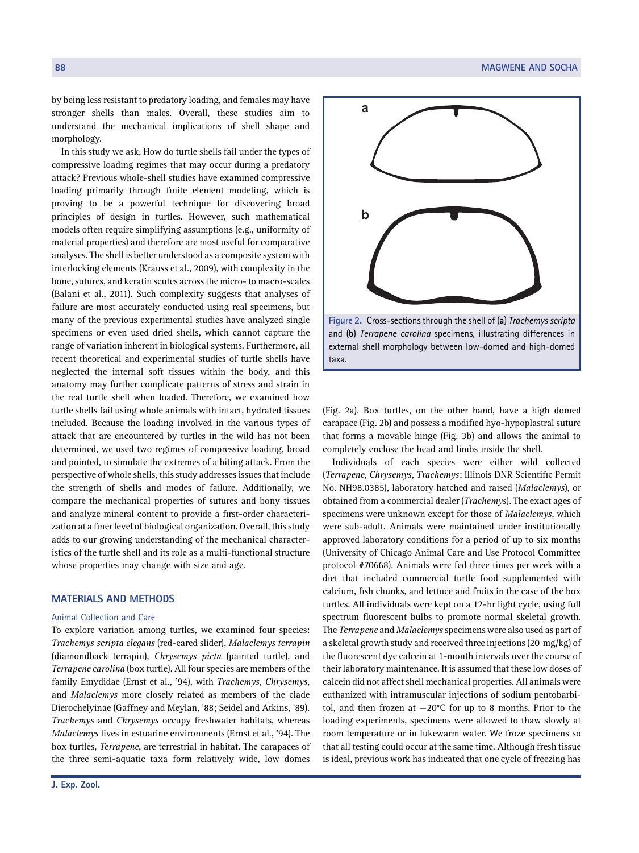by being less resistant to predatory loading, and females may have stronger shells than males. Overall, these studies aim to understand the mechanical implications of shell shape and morphology.

In this study we ask, How do turtle shells fail under the types of compressive loading regimes that may occur during a predatory attack? Previous whole‐shell studies have examined compressive loading primarily through finite element modeling, which is proving to be a powerful technique for discovering broad principles of design in turtles. However, such mathematical models often require simplifying assumptions (e.g., uniformity of material properties) and therefore are most useful for comparative analyses. The shell is better understood as a composite system with interlocking elements (Krauss et al., 2009), with complexity in the bone, sutures, and keratin scutes across the micro‐ to macro‐scales (Balani et al., 2011). Such complexity suggests that analyses of failure are most accurately conducted using real specimens, but many of the previous experimental studies have analyzed single specimens or even used dried shells, which cannot capture the range of variation inherent in biological systems. Furthermore, all recent theoretical and experimental studies of turtle shells have neglected the internal soft tissues within the body, and this anatomy may further complicate patterns of stress and strain in the real turtle shell when loaded. Therefore, we examined how turtle shells fail using whole animals with intact, hydrated tissues included. Because the loading involved in the various types of attack that are encountered by turtles in the wild has not been determined, we used two regimes of compressive loading, broad and pointed, to simulate the extremes of a biting attack. From the perspective of whole shells, this study addresses issues that include the strength of shells and modes of failure. Additionally, we compare the mechanical properties of sutures and bony tissues and analyze mineral content to provide a first-order characterization at a finer level of biological organization. Overall, this study adds to our growing understanding of the mechanical characteristics of the turtle shell and its role as a multi‐functional structure whose properties may change with size and age.

## MATERIALS AND METHODS

### Animal Collection and Care

To explore variation among turtles, we examined four species: Trachemys scripta elegans (red‐eared slider), Malaclemys terrapin (diamondback terrapin), Chrysemys picta (painted turtle), and Terrapene carolina (box turtle). All four species are members of the family Emydidae (Ernst et al., '94), with Trachemys, Chrysemys, and Malaclemys more closely related as members of the clade Dierochelyinae (Gaffney and Meylan, '88; Seidel and Atkins, '89). Trachemys and Chrysemys occupy freshwater habitats, whereas Malaclemys lives in estuarine environments (Ernst et al., '94). The box turtles, Terrapene, are terrestrial in habitat. The carapaces of the three semi‐aquatic taxa form relatively wide, low domes



(Fig. 2a). Box turtles, on the other hand, have a high domed carapace (Fig. 2b) and possess a modified hyo‐hypoplastral suture that forms a movable hinge (Fig. 3b) and allows the animal to completely enclose the head and limbs inside the shell.

Individuals of each species were either wild collected (Terrapene, Chrysemys, Trachemys; Illinois DNR Scientific Permit No. NH98.0385), laboratory hatched and raised (Malaclemys), or obtained from a commercial dealer (Trachemys). The exact ages of specimens were unknown except for those of Malaclemys, which were sub‐adult. Animals were maintained under institutionally approved laboratory conditions for a period of up to six months (University of Chicago Animal Care and Use Protocol Committee protocol #70668). Animals were fed three times per week with a diet that included commercial turtle food supplemented with calcium, fish chunks, and lettuce and fruits in the case of the box turtles. All individuals were kept on a 12‐hr light cycle, using full spectrum fluorescent bulbs to promote normal skeletal growth. The Terrapene and Malaclemys specimens were also used as part of a skeletal growth study and received three injections (20 mg/kg) of the fluorescent dye calcein at 1‐month intervals over the course of their laboratory maintenance. It is assumed that these low doses of calcein did not affect shell mechanical properties. All animals were euthanized with intramuscular injections of sodium pentobarbitol, and then frozen at  $-20^{\circ}$ C for up to 8 months. Prior to the loading experiments, specimens were allowed to thaw slowly at room temperature or in lukewarm water. We froze specimens so that all testing could occur at the same time. Although fresh tissue is ideal, previous work has indicated that one cycle of freezing has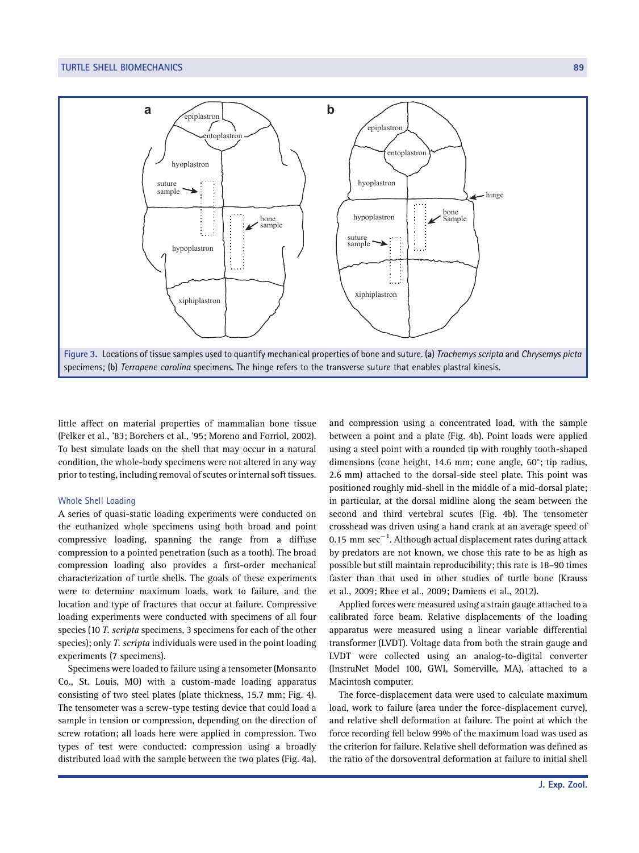

little affect on material properties of mammalian bone tissue (Pelker et al., '83; Borchers et al., '95; Moreno and Forriol, 2002). To best simulate loads on the shell that may occur in a natural condition, the whole‐body specimens were not altered in any way prior to testing, including removal of scutes or internal soft tissues.

## Whole Shell Loading

A series of quasi‐static loading experiments were conducted on the euthanized whole specimens using both broad and point compressive loading, spanning the range from a diffuse compression to a pointed penetration (such as a tooth). The broad compression loading also provides a first‐order mechanical characterization of turtle shells. The goals of these experiments were to determine maximum loads, work to failure, and the location and type of fractures that occur at failure. Compressive loading experiments were conducted with specimens of all four species (10 T. scripta specimens, 3 specimens for each of the other species); only T. scripta individuals were used in the point loading experiments (7 specimens).

Specimens were loaded to failure using a tensometer (Monsanto Co., St. Louis, MO) with a custom‐made loading apparatus consisting of two steel plates (plate thickness, 15.7 mm; Fig. 4). The tensometer was a screw-type testing device that could load a sample in tension or compression, depending on the direction of screw rotation; all loads here were applied in compression. Two types of test were conducted: compression using a broadly distributed load with the sample between the two plates (Fig. 4a),

and compression using a concentrated load, with the sample between a point and a plate (Fig. 4b). Point loads were applied using a steel point with a rounded tip with roughly tooth‐shaped dimensions (cone height, 14.6 mm; cone angle, 60°; tip radius, 2.6 mm) attached to the dorsal‐side steel plate. This point was positioned roughly mid‐shell in the middle of a mid‐dorsal plate; in particular, at the dorsal midline along the seam between the second and third vertebral scutes (Fig. 4b). The tensometer crosshead was driven using a hand crank at an average speed of 0.15 mm  $\sec^{-1}$ . Although actual displacement rates during attack by predators are not known, we chose this rate to be as high as possible but still maintain reproducibility; this rate is 18–90 times faster than that used in other studies of turtle bone (Krauss et al., 2009; Rhee et al., 2009; Damiens et al., 2012).

Applied forces were measured using a strain gauge attached to a calibrated force beam. Relative displacements of the loading apparatus were measured using a linear variable differential transformer (LVDT). Voltage data from both the strain gauge and LVDT were collected using an analog‐to‐digital converter (InstruNet Model 100, GWI, Somerville, MA), attached to a Macintosh computer.

The force-displacement data were used to calculate maximum load, work to failure (area under the force-displacement curve), and relative shell deformation at failure. The point at which the force recording fell below 99% of the maximum load was used as the criterion for failure. Relative shell deformation was defined as the ratio of the dorsoventral deformation at failure to initial shell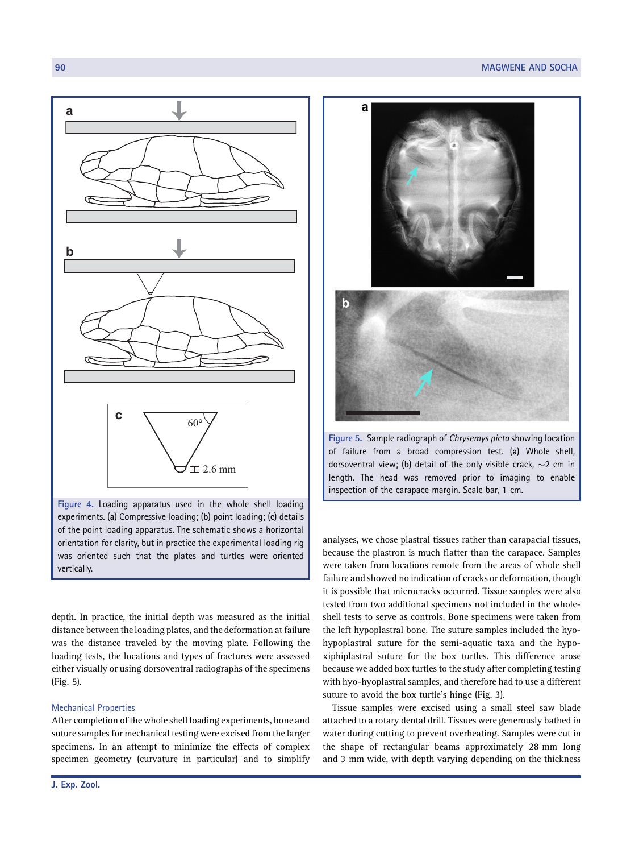

Figure 4. Loading apparatus used in the whole shell loading experiments. (a) Compressive loading; (b) point loading; (c) details of the point loading apparatus. The schematic shows a horizontal orientation for clarity, but in practice the experimental loading rig was oriented such that the plates and turtles were oriented vertically.

depth. In practice, the initial depth was measured as the initial distance between the loading plates, and the deformation at failure was the distance traveled by the moving plate. Following the loading tests, the locations and types of fractures were assessed either visually or using dorsoventral radiographs of the specimens (Fig. 5).

## Mechanical Properties

After completion of the whole shell loading experiments, bone and suture samples for mechanical testing were excised from the larger specimens. In an attempt to minimize the effects of complex specimen geometry (curvature in particular) and to simplify



of failure from a broad compression test. (a) Whole shell, dorsoventral view; (b) detail of the only visible crack,  $\sim$ 2 cm in length. The head was removed prior to imaging to enable inspection of the carapace margin. Scale bar, 1 cm.

analyses, we chose plastral tissues rather than carapacial tissues, because the plastron is much flatter than the carapace. Samples were taken from locations remote from the areas of whole shell failure and showed no indication of cracks or deformation, though it is possible that microcracks occurred. Tissue samples were also tested from two additional specimens not included in the whole‐ shell tests to serve as controls. Bone specimens were taken from the left hypoplastral bone. The suture samples included the hyohypoplastral suture for the semi-aquatic taxa and the hypoxiphiplastral suture for the box turtles. This difference arose because we added box turtles to the study after completing testing with hyo-hyoplastral samples, and therefore had to use a different suture to avoid the box turtle's hinge (Fig. 3).

Tissue samples were excised using a small steel saw blade attached to a rotary dental drill. Tissues were generously bathed in water during cutting to prevent overheating. Samples were cut in the shape of rectangular beams approximately 28 mm long and 3 mm wide, with depth varying depending on the thickness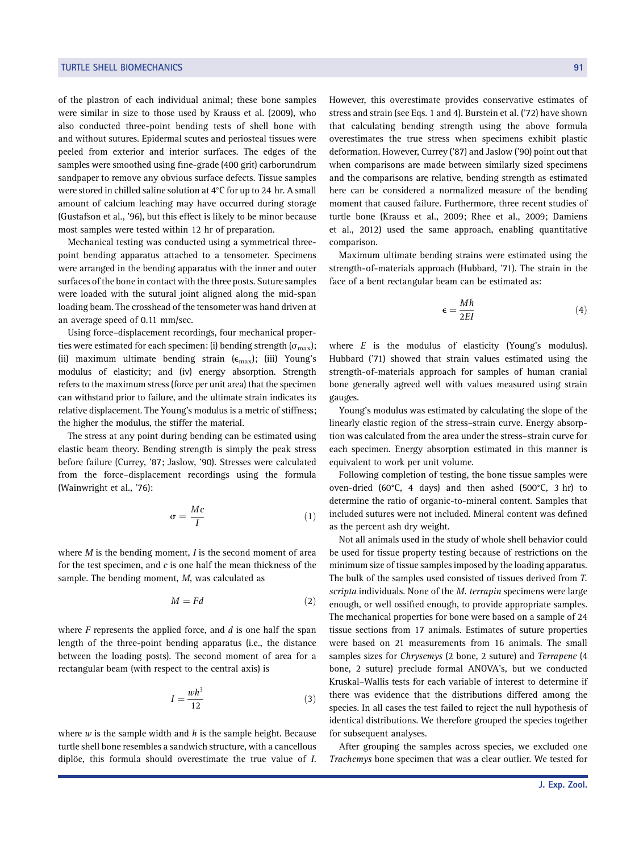of the plastron of each individual animal; these bone samples were similar in size to those used by Krauss et al. (2009), who also conducted three‐point bending tests of shell bone with and without sutures. Epidermal scutes and periosteal tissues were peeled from exterior and interior surfaces. The edges of the samples were smoothed using fine‐grade (400 grit) carborundrum sandpaper to remove any obvious surface defects. Tissue samples were stored in chilled saline solution at 4°C for up to 24 hr. A small amount of calcium leaching may have occurred during storage (Gustafson et al., '96), but this effect is likely to be minor because most samples were tested within 12 hr of preparation.

Mechanical testing was conducted using a symmetrical three‐ point bending apparatus attached to a tensometer. Specimens were arranged in the bending apparatus with the inner and outer surfaces of the bone in contact with the three posts. Suture samples were loaded with the sutural joint aligned along the mid-span loading beam. The crosshead of the tensometer was hand driven at an average speed of 0.11 mm/sec.

Using force–displacement recordings, four mechanical properties were estimated for each specimen: (i) bending strength  $(\sigma_{\text{max}})$ ; (ii) maximum ultimate bending strain  $(\epsilon_{\text{max}})$ ; (iii) Young's modulus of elasticity; and (iv) energy absorption. Strength refers to the maximum stress (force per unit area) that the specimen can withstand prior to failure, and the ultimate strain indicates its relative displacement. The Young's modulus is a metric of stiffness; the higher the modulus, the stiffer the material.

The stress at any point during bending can be estimated using elastic beam theory. Bending strength is simply the peak stress before failure (Currey, '87; Jaslow, '90). Stresses were calculated from the force–displacement recordings using the formula (Wainwright et al., '76):

$$
\sigma = \frac{Mc}{I} \tag{1}
$$

where  $M$  is the bending moment,  $I$  is the second moment of area for the test specimen, and c is one half the mean thickness of the sample. The bending moment, M, was calculated as

$$
M = Fd \tag{2}
$$

where  $F$  represents the applied force, and  $d$  is one half the span length of the three‐point bending apparatus (i.e., the distance between the loading posts). The second moment of area for a rectangular beam (with respect to the central axis) is

$$
I = \frac{wh^3}{12} \tag{3}
$$

where  $w$  is the sample width and  $h$  is the sample height. Because turtle shell bone resembles a sandwich structure, with a cancellous diplöe, this formula should overestimate the true value of I. However, this overestimate provides conservative estimates of stress and strain (see Eqs. 1 and 4). Burstein et al. ('72) have shown that calculating bending strength using the above formula overestimates the true stress when specimens exhibit plastic deformation. However, Currey ('87) and Jaslow ('90) point out that when comparisons are made between similarly sized specimens and the comparisons are relative, bending strength as estimated here can be considered a normalized measure of the bending moment that caused failure. Furthermore, three recent studies of turtle bone (Krauss et al., 2009; Rhee et al., 2009; Damiens et al., 2012) used the same approach, enabling quantitative comparison.

Maximum ultimate bending strains were estimated using the strength‐of‐materials approach (Hubbard, '71). The strain in the face of a bent rectangular beam can be estimated as:

$$
\epsilon = \frac{Mh}{2EI} \tag{4}
$$

where  $E$  is the modulus of elasticity (Young's modulus). Hubbard ('71) showed that strain values estimated using the strength‐of‐materials approach for samples of human cranial bone generally agreed well with values measured using strain gauges.

Young's modulus was estimated by calculating the slope of the linearly elastic region of the stress–strain curve. Energy absorption was calculated from the area under the stress–strain curve for each specimen. Energy absorption estimated in this manner is equivalent to work per unit volume.

Following completion of testing, the bone tissue samples were oven-dried (60 $^{\circ}$ C, 4 days) and then ashed (500 $^{\circ}$ C, 3 hr) to determine the ratio of organic‐to‐mineral content. Samples that included sutures were not included. Mineral content was defined as the percent ash dry weight.

Not all animals used in the study of whole shell behavior could be used for tissue property testing because of restrictions on the minimum size of tissue samples imposed by the loading apparatus. The bulk of the samples used consisted of tissues derived from T. scripta individuals. None of the M. terrapin specimens were large enough, or well ossified enough, to provide appropriate samples. The mechanical properties for bone were based on a sample of 24 tissue sections from 17 animals. Estimates of suture properties were based on 21 measurements from 16 animals. The small samples sizes for Chrysemys (2 bone, 2 suture) and Terrapene (4 bone, 2 suture) preclude formal ANOVA's, but we conducted Kruskal–Wallis tests for each variable of interest to determine if there was evidence that the distributions differed among the species. In all cases the test failed to reject the null hypothesis of identical distributions. We therefore grouped the species together for subsequent analyses.

After grouping the samples across species, we excluded one Trachemys bone specimen that was a clear outlier. We tested for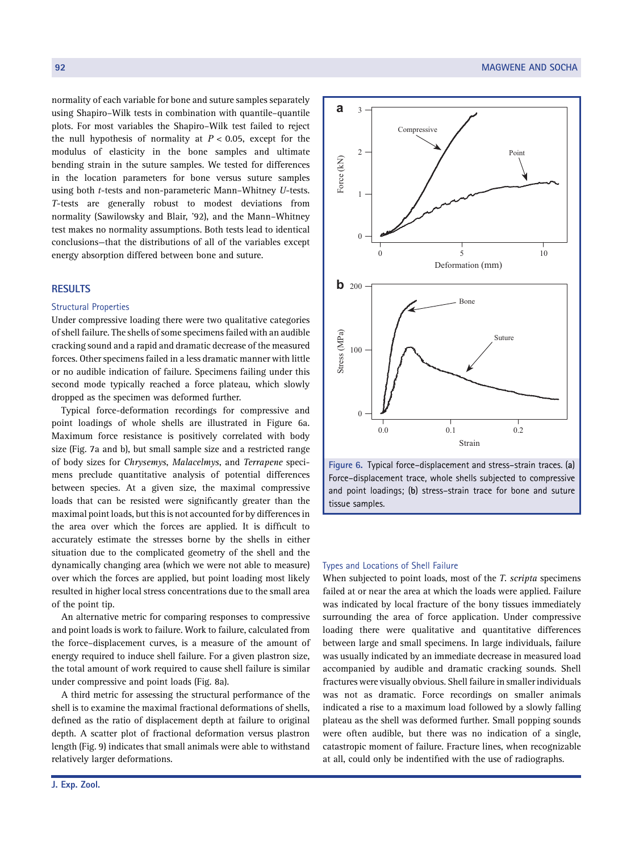normality of each variable for bone and suture samples separately using Shapiro–Wilk tests in combination with quantile–quantile plots. For most variables the Shapiro–Wilk test failed to reject the null hypothesis of normality at  $P < 0.05$ , except for the modulus of elasticity in the bone samples and ultimate bending strain in the suture samples. We tested for differences in the location parameters for bone versus suture samples using both t-tests and non-parameteric Mann-Whitney U-tests. T-tests are generally robust to modest deviations from normality (Sawilowsky and Blair, '92), and the Mann–Whitney test makes no normality assumptions. Both tests lead to identical conclusions—that the distributions of all of the variables except energy absorption differed between bone and suture.

# **RESULTS**

# Structural Properties

Under compressive loading there were two qualitative categories of shell failure. The shells of some specimens failed with an audible cracking sound and a rapid and dramatic decrease of the measured forces. Other specimens failed in a less dramatic manner with little or no audible indication of failure. Specimens failing under this second mode typically reached a force plateau, which slowly dropped as the specimen was deformed further.

Typical force‐deformation recordings for compressive and point loadings of whole shells are illustrated in Figure 6a. Maximum force resistance is positively correlated with body size (Fig. 7a and b), but small sample size and a restricted range of body sizes for Chrysemys, Malacelmys, and Terrapene specimens preclude quantitative analysis of potential differences between species. At a given size, the maximal compressive loads that can be resisted were significantly greater than the maximal point loads, but this is not accounted for by differences in the area over which the forces are applied. It is difficult to accurately estimate the stresses borne by the shells in either situation due to the complicated geometry of the shell and the dynamically changing area (which we were not able to measure) over which the forces are applied, but point loading most likely resulted in higher local stress concentrations due to the small area of the point tip.

An alternative metric for comparing responses to compressive and point loads is work to failure. Work to failure, calculated from the force–displacement curves, is a measure of the amount of energy required to induce shell failure. For a given plastron size, the total amount of work required to cause shell failure is similar under compressive and point loads (Fig. 8a).

A third metric for assessing the structural performance of the shell is to examine the maximal fractional deformations of shells, defined as the ratio of displacement depth at failure to original depth. A scatter plot of fractional deformation versus plastron length (Fig. 9) indicates that small animals were able to withstand relatively larger deformations.





Figure 6. Typical force–displacement and stress–strain traces. (a) Force–displacement trace, whole shells subjected to compressive and point loadings; (b) stress–strain trace for bone and suture tissue samples.

## Types and Locations of Shell Failure

When subjected to point loads, most of the T. scripta specimens failed at or near the area at which the loads were applied. Failure was indicated by local fracture of the bony tissues immediately surrounding the area of force application. Under compressive loading there were qualitative and quantitative differences between large and small specimens. In large individuals, failure was usually indicated by an immediate decrease in measured load accompanied by audible and dramatic cracking sounds. Shell fractures were visually obvious. Shell failure in smaller individuals was not as dramatic. Force recordings on smaller animals indicated a rise to a maximum load followed by a slowly falling plateau as the shell was deformed further. Small popping sounds were often audible, but there was no indication of a single, catastropic moment of failure. Fracture lines, when recognizable at all, could only be indentified with the use of radiographs.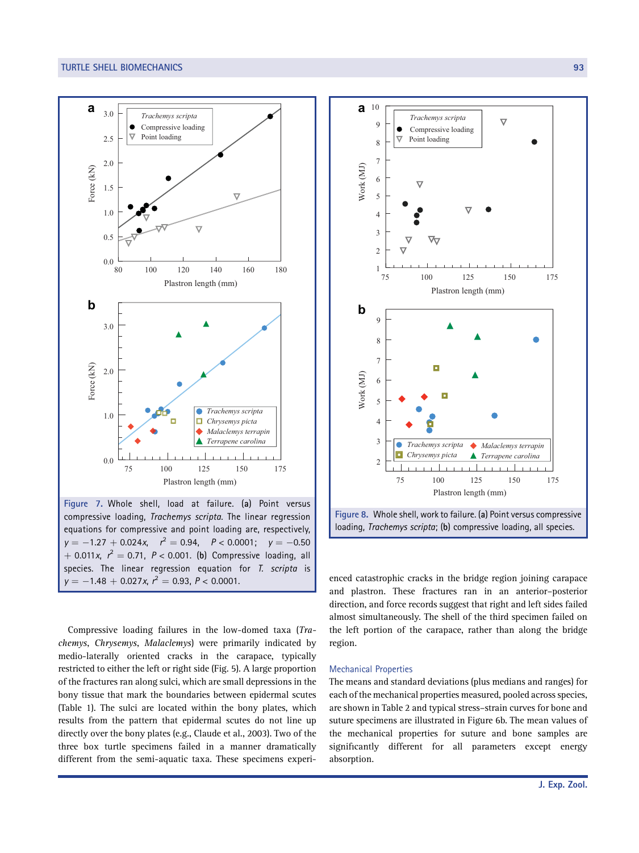

compressive loading, Trachemys scripta. The linear regression equations for compressive and point loading are, respectively,  $y = -1.27 + 0.024x$ ,  $r^2 = 0.94$ ,  $P < 0.0001$ ;  $y = -0.50$  $+$  0.011x,  $r^2 = 0.71$ ,  $P < 0.001$ . (b) Compressive loading, all species. The linear regression equation for T. scripta is  $y = -1.48 + 0.027x$ ,  $r^2 = 0.93$ ,  $P < 0.0001$ .

Compressive loading failures in the low‐domed taxa (Trachemys, Chrysemys, Malaclemys) were primarily indicated by medio‐laterally oriented cracks in the carapace, typically restricted to either the left or right side (Fig. 5). A large proportion of the fractures ran along sulci, which are small depressions in the bony tissue that mark the boundaries between epidermal scutes (Table 1). The sulci are located within the bony plates, which results from the pattern that epidermal scutes do not line up directly over the bony plates (e.g., Claude et al., 2003). Two of the three box turtle specimens failed in a manner dramatically different from the semi‐aquatic taxa. These specimens experi-



enced catastrophic cracks in the bridge region joining carapace and plastron. These fractures ran in an anterior–posterior direction, and force records suggest that right and left sides failed almost simultaneously. The shell of the third specimen failed on the left portion of the carapace, rather than along the bridge region.

#### Mechanical Properties

The means and standard deviations (plus medians and ranges) for each of the mechanical properties measured, pooled across species, are shown in Table 2 and typical stress–strain curves for bone and suture specimens are illustrated in Figure 6b. The mean values of the mechanical properties for suture and bone samples are significantly different for all parameters except energy absorption.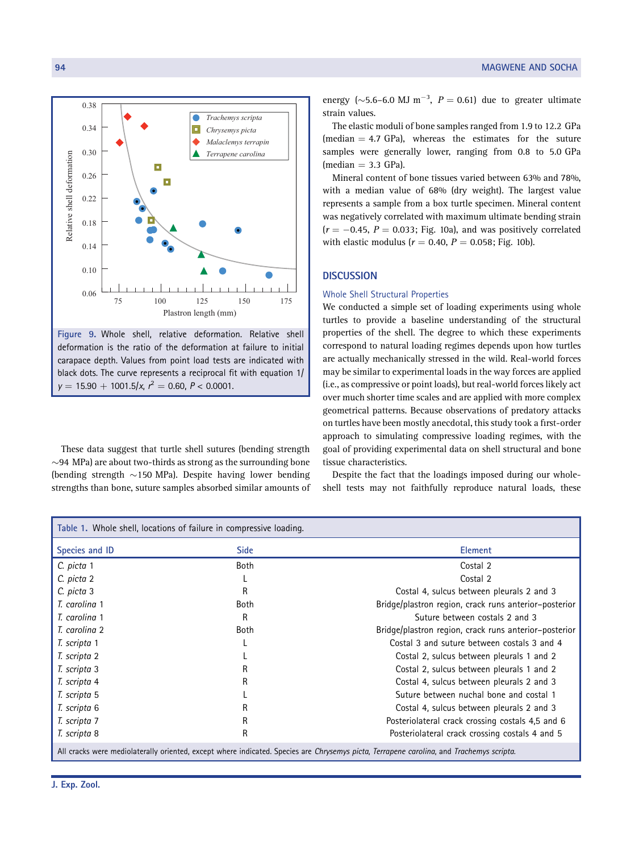

Figure 9. Whole shell, relative deformation. Relative shell deformation is the ratio of the deformation at failure to initial carapace depth. Values from point load tests are indicated with black dots. The curve represents a reciprocal fit with equation 1/  $y = 15.90 + 1001.5/x$ ,  $r^2 = 0.60$ ,  $P < 0.0001$ .

These data suggest that turtle shell sutures (bending strength  $\sim$ 94 MPa) are about two-thirds as strong as the surrounding bone (bending strength  $\sim$ 150 MPa). Despite having lower bending strengths than bone, suture samples absorbed similar amounts of

energy ( $\sim$ 5.6–6.0 MJ m<sup>-3</sup>,  $P = 0.61$ ) due to greater ultimate strain values.

The elastic moduli of bone samples ranged from 1.9 to 12.2 GPa (median  $=$  4.7 GPa), whereas the estimates for the suture samples were generally lower, ranging from 0.8 to 5.0 GPa  $(median = 3.3 GPa).$ 

Mineral content of bone tissues varied between 63% and 78%, with a median value of 68% (dry weight). The largest value represents a sample from a box turtle specimen. Mineral content was negatively correlated with maximum ultimate bending strain  $(r = -0.45, P = 0.033;$  Fig. 10a), and was positively correlated with elastic modulus ( $r = 0.40$ ,  $P = 0.058$ ; Fig. 10b).

#### **DISCUSSION**

#### Whole Shell Structural Properties

We conducted a simple set of loading experiments using whole turtles to provide a baseline understanding of the structural properties of the shell. The degree to which these experiments correspond to natural loading regimes depends upon how turtles are actually mechanically stressed in the wild. Real‐world forces may be similar to experimental loads in the way forces are applied (i.e., as compressive or point loads), but real‐world forces likely act over much shorter time scales and are applied with more complex geometrical patterns. Because observations of predatory attacks on turtles have been mostly anecdotal, this study took a first‐order approach to simulating compressive loading regimes, with the goal of providing experimental data on shell structural and bone tissue characteristics.

Despite the fact that the loadings imposed during our whole‐ shell tests may not faithfully reproduce natural loads, these

| Table 1. Whole shell, locations of failure in compressive loading.                                                                       |             |                                                       |  |  |
|------------------------------------------------------------------------------------------------------------------------------------------|-------------|-------------------------------------------------------|--|--|
| Species and ID                                                                                                                           | <b>Side</b> | Element                                               |  |  |
| C. picta 1                                                                                                                               | <b>Both</b> | Costal 2                                              |  |  |
| C. picta 2                                                                                                                               |             | Costal 2                                              |  |  |
| C. picta 3                                                                                                                               | R           | Costal 4, sulcus between pleurals 2 and 3             |  |  |
| T. carolina 1                                                                                                                            | <b>Both</b> | Bridge/plastron region, crack runs anterior-posterior |  |  |
| T. carolina 1                                                                                                                            | R           | Suture between costals 2 and 3                        |  |  |
| T. carolina 2                                                                                                                            | <b>Both</b> | Bridge/plastron region, crack runs anterior-posterior |  |  |
| T. scripta 1                                                                                                                             |             | Costal 3 and suture between costals 3 and 4           |  |  |
| T. scripta 2                                                                                                                             |             | Costal 2, sulcus between pleurals 1 and 2             |  |  |
| T. scripta 3                                                                                                                             | R           | Costal 2, sulcus between pleurals 1 and 2             |  |  |
| T. scripta 4                                                                                                                             | R           | Costal 4, sulcus between pleurals 2 and 3             |  |  |
| T. scripta 5                                                                                                                             |             | Suture between nuchal bone and costal 1               |  |  |
| T. scripta 6                                                                                                                             | R           | Costal 4, sulcus between pleurals 2 and 3             |  |  |
| T. scripta 7                                                                                                                             | R           | Posteriolateral crack crossing costals 4,5 and 6      |  |  |
| T. scripta 8                                                                                                                             | R           | Posteriolateral crack crossing costals 4 and 5        |  |  |
| All cracks were mediolaterally oriented, except where indicated. Species are Chrysemys picta, Terrapene carolina, and Trachemys scripta. |             |                                                       |  |  |

J. Exp. Zool.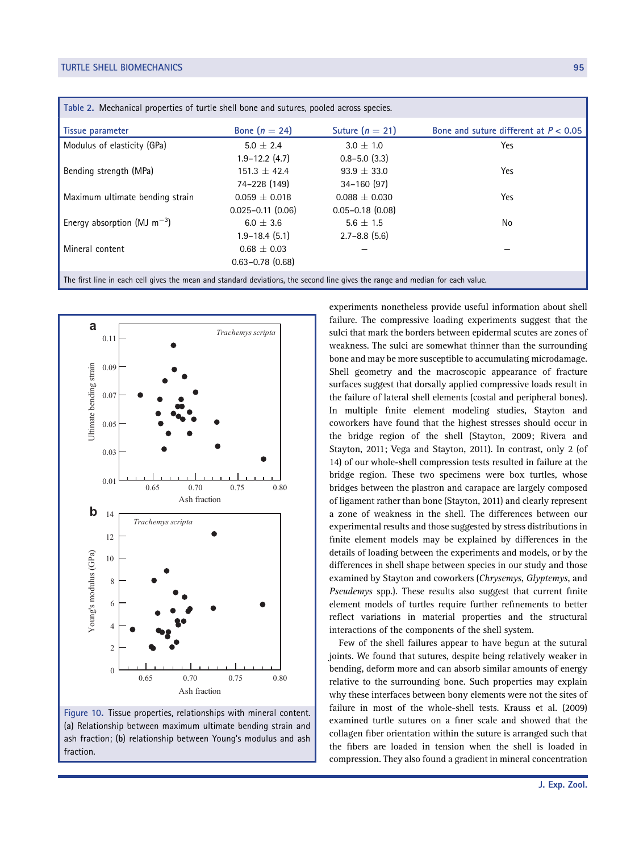| Table 2. Mechanical properties of turtle shell bone and sutures, pooled across species.                                        |                         |                        |                                         |  |
|--------------------------------------------------------------------------------------------------------------------------------|-------------------------|------------------------|-----------------------------------------|--|
| Tissue parameter                                                                                                               | Bone $(n = 24)$         | Suture $(n = 21)$      | Bone and suture different at $P < 0.05$ |  |
| Modulus of elasticity (GPa)                                                                                                    | $5.0 \pm 2.4$           | $3.0 + 1.0$            | Yes                                     |  |
|                                                                                                                                | $1.9 - 12.2$ (4.7)      | $0.8 - 5.0$ (3.3)      |                                         |  |
| Bending strength (MPa)                                                                                                         | $151.3 \pm 42.4$        | $93.9 \pm 33.0$        | Yes                                     |  |
|                                                                                                                                | 74-228 (149)            | $34 - 160(97)$         |                                         |  |
| Maximum ultimate bending strain                                                                                                | $0.059 + 0.018$         | $0.088 \pm 0.030$      | Yes                                     |  |
|                                                                                                                                | $0.025 - 0.11$ $(0.06)$ | $0.05 - 0.18$ $(0.08)$ |                                         |  |
| Energy absorption (MJ $m^{-3}$ )                                                                                               | $6.0 + 3.6$             | $5.6 \pm 1.5$          | No                                      |  |
|                                                                                                                                | $1.9 - 18.4(5.1)$       | $2.7 - 8.8$ (5.6)      |                                         |  |
| Mineral content                                                                                                                | $0.68 \pm 0.03$         |                        |                                         |  |
|                                                                                                                                | $0.63 - 0.78$ $(0.68)$  |                        |                                         |  |
| The first line in each cell gives the mean and standard deviations, the second line gives the range and median for each value. |                         |                        |                                         |  |



Figure 10. Tissue properties, relationships with mineral content. (a) Relationship between maximum ultimate bending strain and ash fraction; (b) relationship between Young's modulus and ash fraction.

experiments nonetheless provide useful information about shell failure. The compressive loading experiments suggest that the sulci that mark the borders between epidermal scutes are zones of weakness. The sulci are somewhat thinner than the surrounding bone and may be more susceptible to accumulating microdamage. Shell geometry and the macroscopic appearance of fracture surfaces suggest that dorsally applied compressive loads result in the failure of lateral shell elements (costal and peripheral bones). In multiple finite element modeling studies, Stayton and coworkers have found that the highest stresses should occur in the bridge region of the shell (Stayton, 2009; Rivera and Stayton, 2011; Vega and Stayton, 2011). In contrast, only 2 (of 14) of our whole‐shell compression tests resulted in failure at the bridge region. These two specimens were box turtles, whose bridges between the plastron and carapace are largely composed of ligament rather than bone (Stayton, 2011) and clearly represent a zone of weakness in the shell. The differences between our experimental results and those suggested by stress distributions in finite element models may be explained by differences in the details of loading between the experiments and models, or by the differences in shell shape between species in our study and those examined by Stayton and coworkers (Chrysemys, Glyptemys, and Pseudemys spp.). These results also suggest that current finite element models of turtles require further refinements to better reflect variations in material properties and the structural interactions of the components of the shell system.

Few of the shell failures appear to have begun at the sutural joints. We found that sutures, despite being relatively weaker in bending, deform more and can absorb similar amounts of energy relative to the surrounding bone. Such properties may explain why these interfaces between bony elements were not the sites of failure in most of the whole-shell tests. Krauss et al. (2009) examined turtle sutures on a finer scale and showed that the collagen fiber orientation within the suture is arranged such that the fibers are loaded in tension when the shell is loaded in compression. They also found a gradient in mineral concentration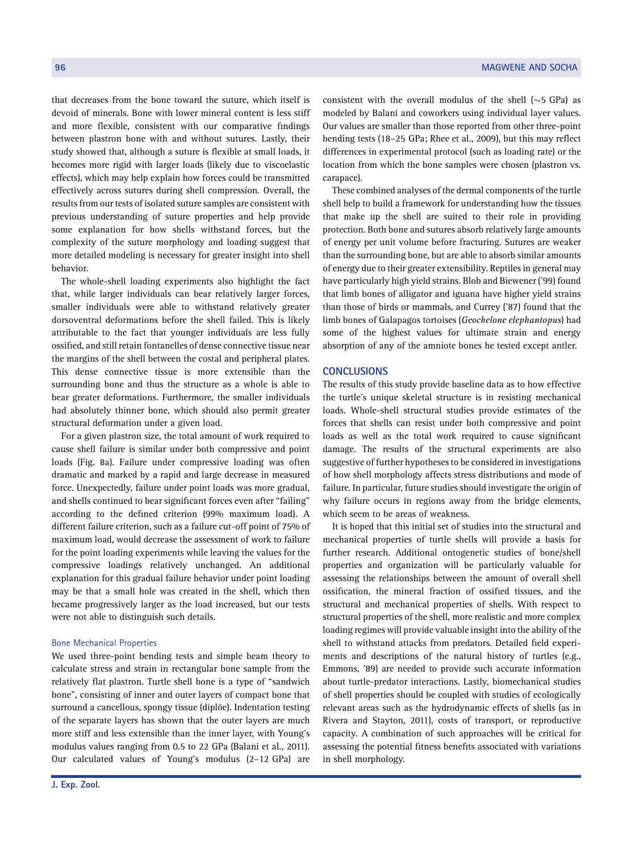that decreases from the bone toward the suture, which itself is devoid of minerals. Bone with lower mineral content is less stiff and more flexible, consistent with our comparative findings between plastron bone with and without sutures. Lastly, their study showed that, although a suture is flexible at small loads, it becomes more rigid with larger loads (likely due to viscoelastic effects), which may help explain how forces could be transmitted effectively across sutures during shell compression. Overall, the results from our tests of isolated suture samples are consistent with previous understanding of suture properties and help provide some explanation for how shells withstand forces, but the complexity of the suture morphology and loading suggest that more detailed modeling is necessary for greater insight into shell behavior.

The whole‐shell loading experiments also highlight the fact that, while larger individuals can bear relatively larger forces, smaller individuals were able to withstand relatively greater dorsoventral deformations before the shell failed. This is likely attributable to the fact that younger individuals are less fully ossified, and still retain fontanelles of dense connective tissue near the margins of the shell between the costal and peripheral plates. This dense connective tissue is more extensible than the surrounding bone and thus the structure as a whole is able to bear greater deformations. Furthermore, the smaller individuals had absolutely thinner bone, which should also permit greater structural deformation under a given load.

For a given plastron size, the total amount of work required to cause shell failure is similar under both compressive and point loads (Fig. 8a). Failure under compressive loading was often dramatic and marked by a rapid and large decrease in measured force. Unexpectedly, failure under point loads was more gradual, and shells continued to bear significant forces even after "failing" according to the defined criterion (99% maximum load). A different failure criterion, such as a failure cut-off point of 75% of maximum load, would decrease the assessment of work to failure for the point loading experiments while leaving the values for the compressive loadings relatively unchanged. An additional explanation for this gradual failure behavior under point loading may be that a small hole was created in the shell, which then became progressively larger as the load increased, but our tests were not able to distinguish such details.

#### Bone Mechanical Properties

We used three‐point bending tests and simple beam theory to calculate stress and strain in rectangular bone sample from the relatively flat plastron. Turtle shell bone is a type of "sandwich bone", consisting of inner and outer layers of compact bone that surround a cancellous, spongy tissue (diplöe). Indentation testing of the separate layers has shown that the outer layers are much more stiff and less extensible than the inner layer, with Young's modulus values ranging from 0.5 to 22 GPa (Balani et al., 2011). Our calculated values of Young's modulus (2–12 GPa) are

consistent with the overall modulus of the shell  $(\sim$ 5 GPa) as modeled by Balani and coworkers using individual layer values. Our values are smaller than those reported from other three‐point bending tests (18–25 GPa; Rhee et al., 2009), but this may reflect differences in experimental protocol (such as loading rate) or the location from which the bone samples were chosen (plastron vs. carapace).

These combined analyses of the dermal components of the turtle shell help to build a framework for understanding how the tissues that make up the shell are suited to their role in providing protection. Both bone and sutures absorb relatively large amounts of energy per unit volume before fracturing. Sutures are weaker than the surrounding bone, but are able to absorb similar amounts of energy due to their greater extensibility. Reptiles in general may have particularly high yield strains. Blob and Biewener ('99) found that limb bones of alligator and iguana have higher yield strains than those of birds or mammals, and Currey ('87) found that the limb bones of Galapagos tortoises (Geochelone elephantopus) had some of the highest values for ultimate strain and energy absorption of any of the amniote bones he tested except antler.

## **CONCLUSIONS**

The results of this study provide baseline data as to how effective the turtle's unique skeletal structure is in resisting mechanical loads. Whole‐shell structural studies provide estimates of the forces that shells can resist under both compressive and point loads as well as the total work required to cause significant damage. The results of the structural experiments are also suggestive of further hypotheses to be considered in investigations of how shell morphology affects stress distributions and mode of failure. In particular, future studies should investigate the origin of why failure occurs in regions away from the bridge elements, which seem to be areas of weakness.

It is hoped that this initial set of studies into the structural and mechanical properties of turtle shells will provide a basis for further research. Additional ontogenetic studies of bone/shell properties and organization will be particularly valuable for assessing the relationships between the amount of overall shell ossification, the mineral fraction of ossified tissues, and the structural and mechanical properties of shells. With respect to structural properties of the shell, more realistic and more complex loading regimes will provide valuable insight into the ability of the shell to withstand attacks from predators. Detailed field experiments and descriptions of the natural history of turtles (e.g., Emmons, '89) are needed to provide such accurate information about turtle‐predator interactions. Lastly, biomechanical studies of shell properties should be coupled with studies of ecologically relevant areas such as the hydrodynamic effects of shells (as in Rivera and Stayton, 2011), costs of transport, or reproductive capacity. A combination of such approaches will be critical for assessing the potential fitness benefits associated with variations in shell morphology.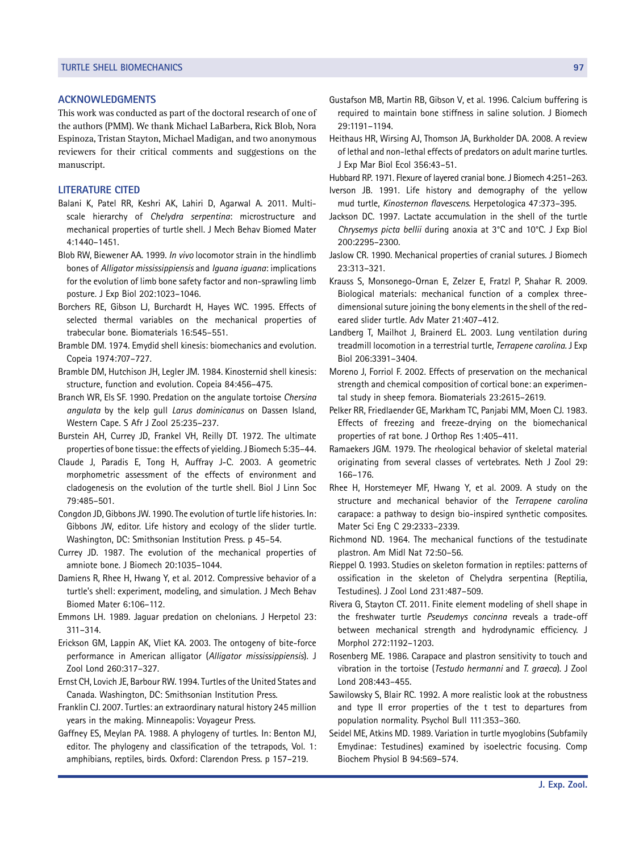## ACKNOWLEDGMENTS

This work was conducted as part of the doctoral research of one of the authors (PMM). We thank Michael LaBarbera, Rick Blob, Nora Espinoza, Tristan Stayton, Michael Madigan, and two anonymous reviewers for their critical comments and suggestions on the manuscript.

## LITERATURE CITED

- Balani K, Patel RR, Keshri AK, Lahiri D, Agarwal A. 2011. Multiscale hierarchy of Chelydra serpentina: microstructure and mechanical properties of turtle shell. J Mech Behav Biomed Mater 4:1440–1451.
- Blob RW, Biewener AA. 1999. In vivo locomotor strain in the hindlimb bones of Alligator mississippiensis and Iguana iguana: implications for the evolution of limb bone safety factor and non‐sprawling limb posture. J Exp Biol 202:1023–1046.
- Borchers RE, Gibson LJ, Burchardt H, Hayes WC. 1995. Effects of selected thermal variables on the mechanical properties of trabecular bone. Biomaterials 16:545–551.
- Bramble DM. 1974. Emydid shell kinesis: biomechanics and evolution. Copeia 1974:707–727.
- Bramble DM, Hutchison JH, Legler JM. 1984. Kinosternid shell kinesis: structure, function and evolution. Copeia 84:456–475.
- Branch WR, Els SF. 1990. Predation on the angulate tortoise Chersina angulata by the kelp gull Larus dominicanus on Dassen Island, Western Cape. S Afr J Zool 25:235–237.
- Burstein AH, Currey JD, Frankel VH, Reilly DT. 1972. The ultimate properties of bone tissue: the effects of yielding. J Biomech 5:35–44.
- Claude J, Paradis E, Tong H, Auffray J‐C. 2003. A geometric morphometric assessment of the effects of environment and cladogenesis on the evolution of the turtle shell. Biol J Linn Soc 79:485–501.
- Congdon JD, Gibbons JW. 1990. The evolution of turtle life histories. In: Gibbons JW, editor. Life history and ecology of the slider turtle. Washington, DC: Smithsonian Institution Press. p 45–54.
- Currey JD. 1987. The evolution of the mechanical properties of amniote bone. J Biomech 20:1035–1044.
- Damiens R, Rhee H, Hwang Y, et al. 2012. Compressive behavior of a turtle's shell: experiment, modeling, and simulation. J Mech Behav Biomed Mater 6:106–112.
- Emmons LH. 1989. Jaguar predation on chelonians. J Herpetol 23: 311–314.
- Erickson GM, Lappin AK, Vliet KA. 2003. The ontogeny of bite‐force performance in American alligator (Alligator mississippiensis). J Zool Lond 260:317–327.
- Ernst CH, Lovich JE, Barbour RW. 1994. Turtles of the United States and Canada. Washington, DC: Smithsonian Institution Press.
- Franklin CJ. 2007. Turtles: an extraordinary natural history 245 million years in the making. Minneapolis: Voyageur Press.
- Gaffney ES, Meylan PA. 1988. A phylogeny of turtles. In: Benton MJ, editor. The phylogeny and classification of the tetrapods, Vol. 1: amphibians, reptiles, birds. Oxford: Clarendon Press. p 157–219.
- Gustafson MB, Martin RB, Gibson V, et al. 1996. Calcium buffering is required to maintain bone stiffness in saline solution. J Biomech 29:1191–1194.
- Heithaus HR, Wirsing AJ, Thomson JA, Burkholder DA. 2008. A review of lethal and non‐lethal effects of predators on adult marine turtles. J Exp Mar Biol Ecol 356:43–51.
- Hubbard RP. 1971. Flexure of layered cranial bone. J Biomech 4:251–263. Iverson JB. 1991. Life history and demography of the yellow mud turtle, Kinosternon flavescens. Herpetologica 47:373–395.
- Jackson DC. 1997. Lactate accumulation in the shell of the turtle Chrysemys picta bellii during anoxia at 3°C and 10°C. J Exp Biol 200:2295–2300.
- Jaslow CR. 1990. Mechanical properties of cranial sutures. J Biomech 23:313–321.
- Krauss S, Monsonego‐Ornan E, Zelzer E, Fratzl P, Shahar R. 2009. Biological materials: mechanical function of a complex three‐ dimensional suture joining the bony elements in the shell of the red‐ eared slider turtle. Adv Mater 21:407–412.
- Landberg T, Mailhot J, Brainerd EL. 2003. Lung ventilation during treadmill locomotion in a terrestrial turtle, Terrapene carolina. J Exp Biol 206:3391–3404.
- Moreno J, Forriol F. 2002. Effects of preservation on the mechanical strength and chemical composition of cortical bone: an experimental study in sheep femora. Biomaterials 23:2615–2619.
- Pelker RR, Friedlaender GE, Markham TC, Panjabi MM, Moen CJ. 1983. Effects of freezing and freeze‐drying on the biomechanical properties of rat bone. J Orthop Res 1:405–411.
- Ramaekers JGM. 1979. The rheological behavior of skeletal material originating from several classes of vertebrates. Neth J Zool 29: 166–176.
- Rhee H, Horstemeyer MF, Hwang Y, et al. 2009. A study on the structure and mechanical behavior of the Terrapene carolina carapace: a pathway to design bio‐inspired synthetic composites. Mater Sci Eng C 29:2333–2339.
- Richmond ND. 1964. The mechanical functions of the testudinate plastron. Am Midl Nat 72:50–56.
- Rieppel O. 1993. Studies on skeleton formation in reptiles: patterns of ossification in the skeleton of Chelydra serpentina (Reptilia, Testudines). J Zool Lond 231:487–509.
- Rivera G, Stayton CT. 2011. Finite element modeling of shell shape in the freshwater turtle Pseudemys concinna reveals a trade-off between mechanical strength and hydrodynamic efficiency. J Morphol 272:1192–1203.
- Rosenberg ME. 1986. Carapace and plastron sensitivity to touch and vibration in the tortoise (Testudo hermanni and T. graeca). J Zool Lond 208:443–455.
- Sawilowsky S, Blair RC. 1992. A more realistic look at the robustness and type II error properties of the t test to departures from population normality. Psychol Bull 111:353–360.
- Seidel ME, Atkins MD. 1989. Variation in turtle myoglobins (Subfamily Emydinae: Testudines) examined by isoelectric focusing. Comp Biochem Physiol B 94:569–574.